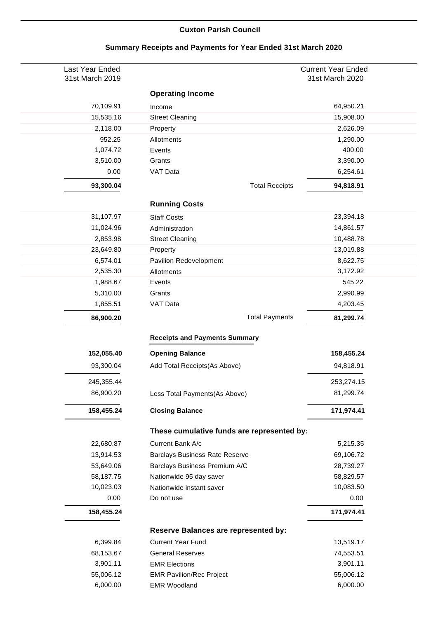## **Cuxton Parish Council**

| Last Year Ended<br>31st March 2019 |                                            | <b>Current Year Ended</b><br>31st March 2020 |
|------------------------------------|--------------------------------------------|----------------------------------------------|
|                                    | <b>Operating Income</b>                    |                                              |
| 70,109.91                          | Income                                     | 64,950.21                                    |
| 15,535.16                          | <b>Street Cleaning</b>                     | 15,908.00                                    |
| 2,118.00                           | Property                                   | 2,626.09                                     |
| 952.25                             | Allotments                                 | 1,290.00                                     |
| 1,074.72                           | Events                                     | 400.00                                       |
| 3,510.00                           | Grants                                     | 3,390.00                                     |
| 0.00                               | VAT Data                                   | 6,254.61                                     |
| 93,300.04                          | <b>Total Receipts</b>                      | 94,818.91                                    |
|                                    | <b>Running Costs</b>                       |                                              |
| 31,107.97                          | <b>Staff Costs</b>                         | 23,394.18                                    |
| 11,024.96                          | Administration                             | 14,861.57                                    |
| 2,853.98                           | <b>Street Cleaning</b>                     | 10,488.78                                    |
| 23,649.80                          | Property                                   | 13,019.88                                    |
| 6,574.01                           | Pavilion Redevelopment                     | 8,622.75                                     |
| 2,535.30                           | Allotments                                 | 3,172.92                                     |
| 1,988.67                           | Events                                     | 545.22                                       |
| 5,310.00                           | Grants                                     | 2,990.99                                     |
| 1,855.51                           | VAT Data                                   | 4,203.45                                     |
| 86,900.20                          | <b>Total Payments</b>                      | 81,299.74                                    |
|                                    | <b>Receipts and Payments Summary</b>       |                                              |
| 152,055.40                         | <b>Opening Balance</b>                     | 158,455.24                                   |
| 93,300.04                          | Add Total Receipts(As Above)               | 94,818.91                                    |
|                                    |                                            |                                              |
| 245,355.44                         |                                            | 253,274.15                                   |
| 86,900.20                          | Less Total Payments(As Above)              | 81,299.74                                    |
| 158,455.24                         | <b>Closing Balance</b>                     | 171,974.41                                   |
|                                    | These cumulative funds are represented by: |                                              |
| 22,680.87                          | Current Bank A/c                           | 5,215.35                                     |
| 13,914.53                          | <b>Barclays Business Rate Reserve</b>      | 69,106.72                                    |
| 53,649.06                          | Barclays Business Premium A/C              | 28,739.27                                    |
| 58,187.75                          | Nationwide 95 day saver                    | 58,829.57                                    |
| 10,023.03                          | Nationwide instant saver                   | 10,083.50                                    |
| 0.00                               | Do not use                                 | 0.00                                         |
| 158,455.24                         |                                            | 171,974.41                                   |
|                                    | Reserve Balances are represented by:       |                                              |
| 6,399.84                           | <b>Current Year Fund</b>                   | 13,519.17                                    |
| 68,153.67                          | <b>General Reserves</b>                    | 74,553.51                                    |
| 3,901.11                           | <b>EMR Elections</b>                       | 3,901.11                                     |
| 55,006.12                          | <b>EMR Pavilion/Rec Project</b>            | 55,006.12                                    |
| 6,000.00                           | <b>EMR Woodland</b>                        | 6,000.00                                     |

## **Summary Receipts and Payments for Year Ended 31st March 2020**